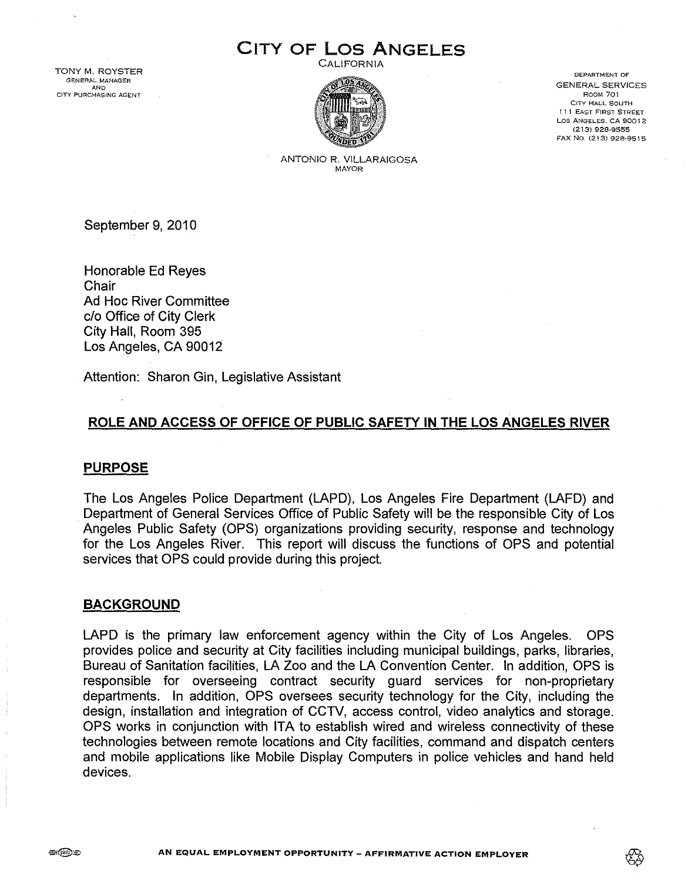# CITY OF Los ANGELES

CALIFORNIA



DEpARTMENT OF GENERAL SERVICES ROOM 701 CITY HALL SOUTH 1 I 1 EAST FIRST STREET LOS ANGELES, CA 90012 (213) 928-9555 FAX No. (213) 928-9515

ANTONIO R. VILLARAIGOSA MAYOR

September 9,2010

Honorable Ed Reyes **Chair** Ad Hoc River Committee c/o Office of City Clerk City Hall, Room 395 Los Angeles, CA 90012

Attention: Sharon Gin, Legislative Assistant

## ROLE AND ACCESS OF OFFICE OF PUBLIC SAFETY IN THE LOS ANGELES RIVER

## **PURPOSE**

The Los Angeles Police Department (LAPD), Los Angeles Fire Department (LAFD) and Department of General Services Office of Public Safety will be the responsible City of Los Angeles Public Safety (OPS) organizations providing security, response and technology for the Los Angeles River. This report will discuss the functions of OPS and potential services that OPS could provide during this project.

## BACKGROUND

LAPD is the primary law enforcement agency within the City of Los Angeles. OPS provides police and security at City facilities including municipal buildings, parks, libraries, Bureau of Sanitation facilities, LA Zoo and the LA Convention Center. In addition, OPS is responsible for overseeing contract security guard services for non-proprietary departments. In addition, OPS oversees security technology for the City, including the design, installation and integration of CCTV, access control, video analytics and storage. OPS works in conjunction with ITA to establish wired and wireless connectivity of these technologies between remote locations and City facilities, command and dispatch centers and mobile applications like Mobile Display Computers in police vehicles and hand held devices.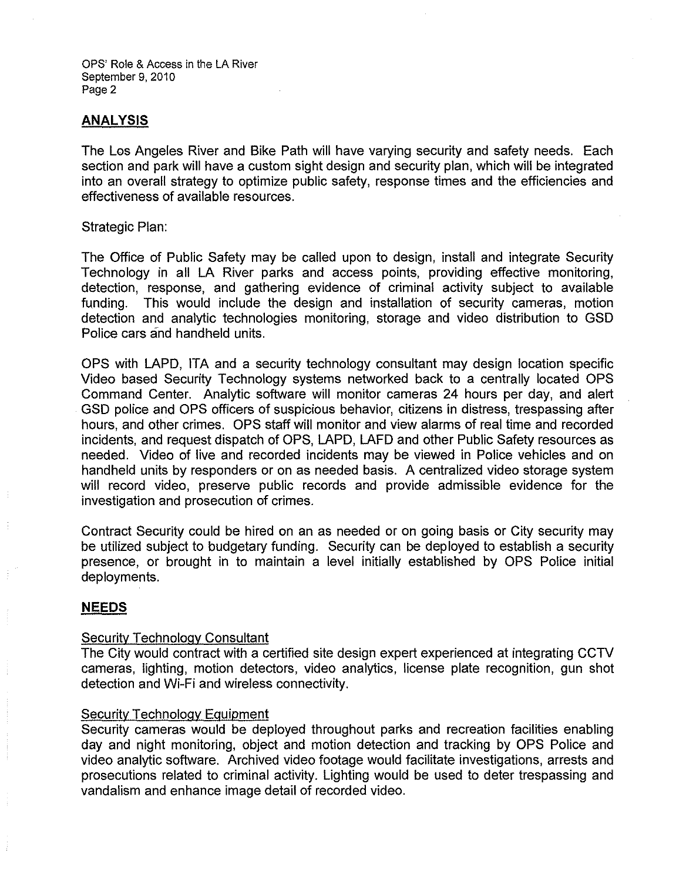OPS' Role & Access in the LA River September 9, 2010 Page 2

## **ANALYSIS**

The Los Angeles River and Bike Path will have varying security and safety needs. Each section and park will have a custom sight design and security plan, which will be integrated into an overall strategy to optimize public safety, response times and the efficiencies and effectiveness of available resources.

#### Strategic Plan:

The Office of Public Safety may be called upon to design, install and integrate Security Technology in all LA River parks and access points, providing effective monitoring, detection, response, and gathering evidence of criminal activity subject to available funding. This would include the design and installation of security cameras, motion detection and analytic technologies monitoring, storage and video distribution to GSD Police cars and handheld units.

OPS with LAPD, ITA and a security technology consultant may design location specific Video based Security Technology systems networked back to a centrally located OPS Command Center. Analytic software will monitor cameras 24 hours per day, and alert GSD police and OPS officers of suspicious behavior, citizens in distress, trespassing after hours, and other crimes. OPS staff will monitor and view alarms of real time and recorded incidents, and request dispatch of OPS, LAPD, LAFD and other Public Safety resources as needed. Video of live and recorded incidents may be viewed in Police vehicles and on handheld units by responders or on as needed basis. A centralized video storage system will record video, preserve public records and provide admissible evidence for the investigation and prosecution of crimes.

Contract Security could be hired on an as needed or on going basis or City security may be utilized subject to budgetary funding. Security can be deployed to establish a security presence, or brought in to maintain a level initially established by OPS Police initial deployments.

## **NEEDS**

## Security Technology Consultant

The City would contract with a certified site design expert experienced at integrating CCTV cameras, lighting, motion detectors, video analytics, license plate recognition, gun shot detection and Wi-Fi and wireless connectivity.

## Security Technology Equipment

Security cameras would be deployed throughout parks and recreation facilities enabling day and night monitoring, object and motion detection and tracking by OPS Police and video analytic software. Archived video footage would facilitate investigations, arrests and prosecutions related to criminal activity. Lighting would be used to deter trespassing and vandalism and enhance image detail of recorded video.